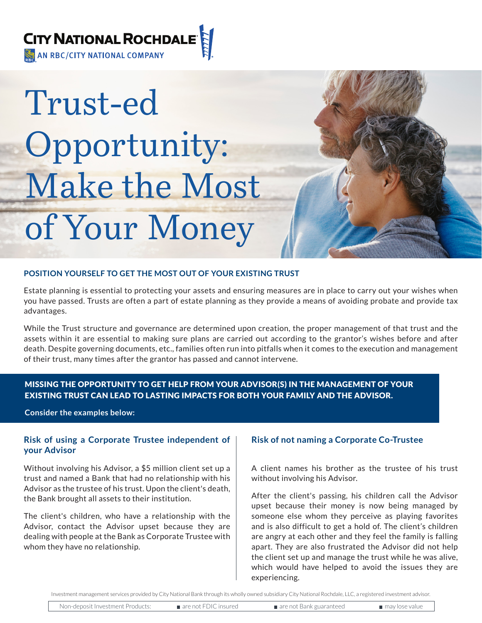

# Trust-ed Opportunity: Make the Most of Your Money

# **POSITION YOURSELF TO GET THE MOST OUT OF YOUR EXISTING TRUST**

Estate planning is essential to protecting your assets and ensuring measures are in place to carry out your wishes when you have passed. Trusts are often a part of estate planning as they provide a means of avoiding probate and provide tax advantages.

While the Trust structure and governance are determined upon creation, the proper management of that trust and the assets within it are essential to making sure plans are carried out according to the grantor's wishes before and after death. Despite governing documents, etc., families often run into pitfalls when it comes to the execution and management of their trust, many times after the grantor has passed and cannot intervene.

# MISSING THE OPPORTUNITY TO GET HELP FROM YOUR ADVISOR(S) IN THE MANAGEMENT OF YOUR EXISTING TRUST CAN LEAD TO LASTING IMPACTS FOR BOTH YOUR FAMILY AND THE ADVISOR.

**Consider the examples below:**

# **Risk of using a Corporate Trustee independent of your Advisor**

Without involving his Advisor, a \$5 million client set up a trust and named a Bank that had no relationship with his Advisor as the trustee of his trust. Upon the client's death, the Bank brought all assets to their institution.

The client's children, who have a relationship with the Advisor, contact the Advisor upset because they are dealing with people at the Bank as Corporate Trustee with whom they have no relationship.

# **Risk of not naming a Corporate Co-Trustee**

A client names his brother as the trustee of his trust without involving his Advisor.

After the client's passing, his children call the Advisor upset because their money is now being managed by someone else whom they perceive as playing favorites and is also difficult to get a hold of. The client's children are angry at each other and they feel the family is falling apart. They are also frustrated the Advisor did not help the client set up and manage the trust while he was alive, which would have helped to avoid the issues they are experiencing.

| Non-deposit Investment Products: | $\blacksquare$ are not FDIC insured | are not Bank guaranteed | may lose value |
|----------------------------------|-------------------------------------|-------------------------|----------------|
|                                  |                                     |                         |                |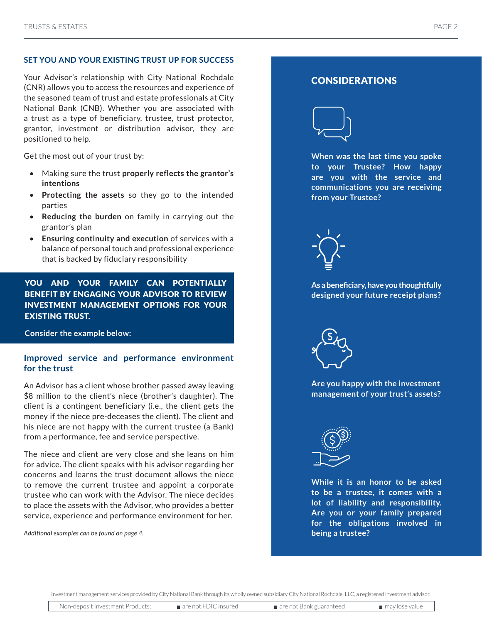# **SET YOU AND YOUR EXISTING TRUST UP FOR SUCCESS**

Your Advisor's relationship with City National Rochdale (CNR) allows you to access the resources and experience of the seasoned team of trust and estate professionals at City National Bank (CNB). Whether you are associated with a trust as a type of beneficiary, trustee, trust protector, grantor, investment or distribution advisor, they are positioned to help.

Get the most out of your trust by:

- Making sure the trust **properly reflects the grantor's intentions**
- **Protecting the assets** so they go to the intended parties
- **Reducing the burden** on family in carrying out the grantor's plan
- **Ensuring continuity and execution** of services with a balance of personal touch and professional experience that is backed by fiduciary responsibility

YOU AND YOUR FAMILY CAN POTENTIALLY BENEFIT BY ENGAGING YOUR ADVISOR TO REVIEW INVESTMENT MANAGEMENT OPTIONS FOR YOUR EXISTING TRUST.

**Consider the example below:**

# **Improved service and performance environment for the trust**

An Advisor has a client whose brother passed away leaving \$8 million to the client's niece (brother's daughter). The client is a contingent beneficiary (i.e., the client gets the money if the niece pre-deceases the client). The client and his niece are not happy with the current trustee (a Bank) from a performance, fee and service perspective.

The niece and client are very close and she leans on him for advice. The client speaks with his advisor regarding her concerns and learns the trust document allows the niece to remove the current trustee and appoint a corporate trustee who can work with the Advisor. The niece decides to place the assets with the Advisor, who provides a better service, experience and performance environment for her.

*Additional examples can be found on page 4.*

# CONSIDERATIONS



**When was the last time you spoke to your Trustee? How happy are you with the service and communications you are receiving from your Trustee?**



**As a beneficiary, have you thoughtfully designed your future receipt plans?**



**Are you happy with the investment management of your trust's assets?**



**While it is an honor to be asked to be a trustee, it comes with a lot of liability and responsibility. Are you or your family prepared for the obligations involved in being a trustee?**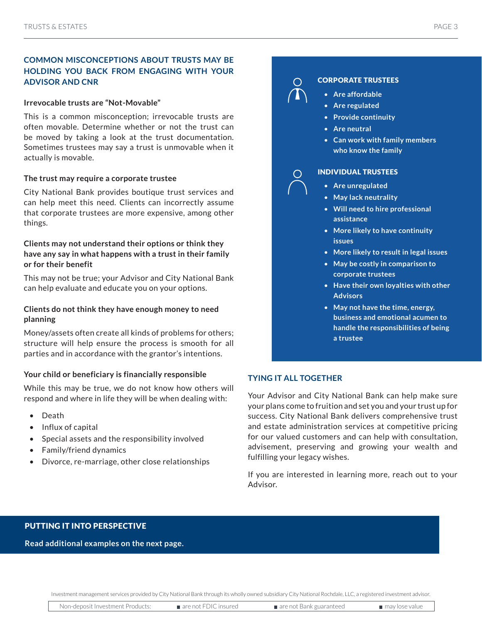# **COMMON MISCONCEPTIONS ABOUT TRUSTS MAY BE HOLDING YOU BACK FROM ENGAGING WITH YOUR ADVISOR AND CNR**

## **Irrevocable trusts are "Not-Movable"**

This is a common misconception; irrevocable trusts are often movable. Determine whether or not the trust can be moved by taking a look at the trust documentation. Sometimes trustees may say a trust is unmovable when it actually is movable.

## **The trust may require a corporate trustee**

City National Bank provides boutique trust services and can help meet this need. Clients can incorrectly assume that corporate trustees are more expensive, among other things.

# **Clients may not understand their options or think they have any say in what happens with a trust in their family or for their benefit**

This may not be true; your Advisor and City National Bank can help evaluate and educate you on your options.

# **Clients do not think they have enough money to need planning**

Money/assets often create all kinds of problems for others; structure will help ensure the process is smooth for all parties and in accordance with the grantor's intentions.

## **Your child or beneficiary is financially responsible**

While this may be true, we do not know how others will respond and where in life they will be when dealing with:

- Death
- Influx of capital
- Special assets and the responsibility involved
- Family/friend dynamics
- Divorce, re-marriage, other close relationships

# CORPORATE TRUSTEES

- **Are affordable**
- **Are regulated**
- **Provide continuity**
- **Are neutral**
- **Can work with family members who know the family**

## INDIVIDUAL TRUSTEES

- **Are unregulated**
- **May lack neutrality**
- **Will need to hire professional assistance**
- **More likely to have continuity issues**
- **More likely to result in legal issues**
- **May be costly in comparison to corporate trustees**
- **Have their own loyalties with other Advisors**
- **May not have the time, energy, business and emotional acumen to handle the responsibilities of being a trustee**

# **TYING IT ALL TOGETHER**

Your Advisor and City National Bank can help make sure your plans come to fruition and set you and your trust up for success. City National Bank delivers comprehensive trust and estate administration services at competitive pricing for our valued customers and can help with consultation, advisement, preserving and growing your wealth and fulfilling your legacy wishes.

If you are interested in learning more, reach out to your Advisor.

## PUTTING IT INTO PERSPECTIVE

### **Read additional examples on the next page.**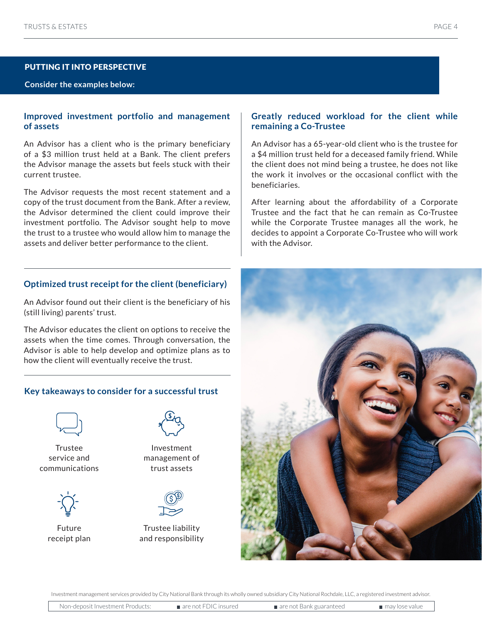# PUTTING IT INTO PERSPECTIVE

## **Consider the examples below:**

# **Improved investment portfolio and management of assets**

An Advisor has a client who is the primary beneficiary of a \$3 million trust held at a Bank. The client prefers the Advisor manage the assets but feels stuck with their current trustee.

The Advisor requests the most recent statement and a copy of the trust document from the Bank. After a review, the Advisor determined the client could improve their investment portfolio. The Advisor sought help to move the trust to a trustee who would allow him to manage the assets and deliver better performance to the client.

# **Optimized trust receipt for the client (beneficiary)**

An Advisor found out their client is the beneficiary of his (still living) parents' trust.

The Advisor educates the client on options to receive the assets when the time comes. Through conversation, the Advisor is able to help develop and optimize plans as to how the client will eventually receive the trust.

# **Key takeaways to consider for a successful trust**



Trustee service and communications



Future receipt plan



Investment management of trust assets



Trustee liability and responsibility

# **Greatly reduced workload for the client while remaining a Co-Trustee**

An Advisor has a 65-year-old client who is the trustee for a \$4 million trust held for a deceased family friend. While the client does not mind being a trustee, he does not like the work it involves or the occasional conflict with the beneficiaries.

After learning about the affordability of a Corporate Trustee and the fact that he can remain as Co-Trustee while the Corporate Trustee manages all the work, he decides to appoint a Corporate Co-Trustee who will work with the Advisor.



Non-deposit Investment Products: are not FDIC insured are not Bank guaranteed may lose value Investment management services provided by City National Bank through its wholly owned subsidiary City National Rochdale, LLC, a registered investment advisor.